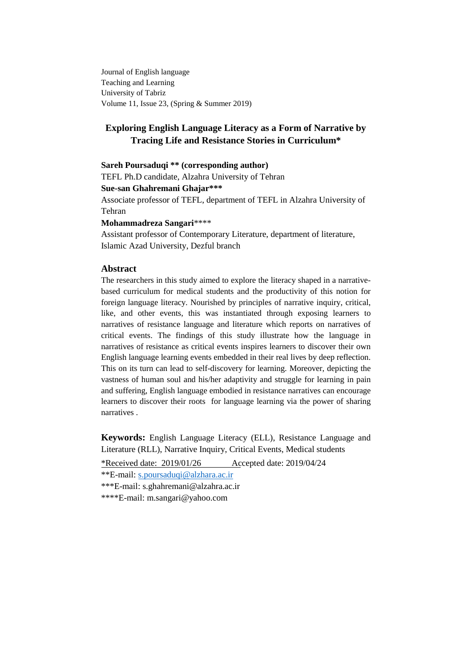Journal of English language Teaching and Learning University of Tabriz Volume 11, Issue 23, (Spring & Summer 2019)

# **Exploring English Language Literacy as a Form of Narrative by Tracing Life and Resistance Stories in Curriculum\***

**Sareh Poursaduqi \*\* (corresponding author)**

TEFL Ph.D candidate, Alzahra University of Tehran

**Sue-san Ghahremani Ghajar\*\*\***

Associate professor of TEFL, department of TEFL in Alzahra University of Tehran

#### **Mohammadreza Sangari**\*\*\*\*

Assistant professor of Contemporary Literature, department of literature, Islamic Azad University, Dezful branch

## **Abstract**

The researchers in this study aimed to explore the literacy shaped in a narrativebased curriculum for medical students and the productivity of this notion for foreign language literacy. Nourished by principles of narrative inquiry, critical, like, and other events, this was instantiated through exposing learners to narratives of resistance language and literature which reports on narratives of critical events. The findings of this study illustrate how the language in narratives of resistance as critical events inspires learners to discover their own English language learning events embedded in their real lives by deep reflection. This on its turn can lead to self-discovery for learning. Moreover, depicting the vastness of human soul and his/her adaptivity and struggle for learning in pain and suffering, English language embodied in resistance narratives can encourage learners to discover their roots for language learning via the power of sharing narratives .

**Keywords:** English Language Literacy (ELL), Resistance Language and Literature (RLL), Narrative Inquiry, Critical Events, Medical students

\*Received date: 2019/01/26 Accepted date: 2019/04/24

\*\*E-mail: [s.poursaduqi@alzhara.ac.ir](mailto:s.poursaduqi@alzhara.ac.ir)

\*\*\*E-mail: [s.ghahremani@alzahra.ac.ir](mailto:s.ghahremani@alzahra.ac.ir)

\*\*\*\*E-mail: [m.sangari@yahoo.com](mailto:m.sangari@yahoo.com)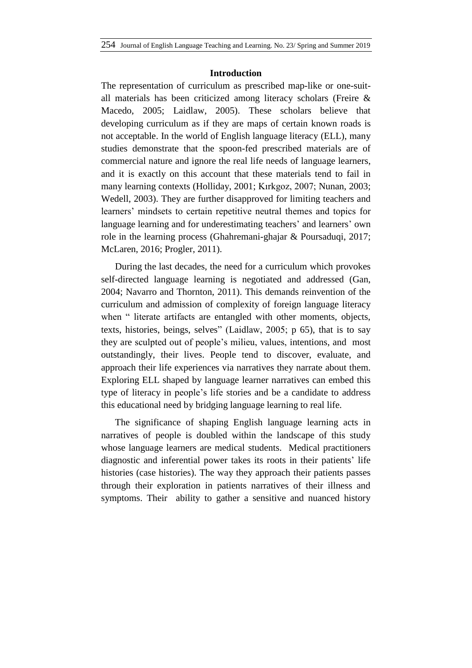### **Introduction**

The representation of curriculum as prescribed map-like or one-suitall materials has been criticized among literacy scholars (Freire & Macedo, 2005; Laidlaw, 2005). These scholars believe that developing curriculum as if they are maps of certain known roads is not acceptable. In the world of English language literacy (ELL), many studies demonstrate that the spoon-fed prescribed materials are of commercial nature and ignore the real life needs of language learners, and it is exactly on this account that these materials tend to fail in many learning contexts (Holliday, 2001; Kırkgoz, 2007; Nunan, 2003; Wedell, 2003). They are further disapproved for limiting teachers and learners' mindsets to certain repetitive neutral themes and topics for language learning and for underestimating teachers' and learners' own role in the learning process (Ghahremani-ghajar & Poursaduqi, 2017; McLaren, 2016; Progler, 2011).

During the last decades, the need for a curriculum which provokes self-directed language learning is negotiated and addressed (Gan, 2004; Navarro and Thornton, 2011). This demands reinvention of the curriculum and admission of complexity of foreign language literacy when " literate artifacts are entangled with other moments, objects, texts, histories, beings, selves" (Laidlaw, 2005; p 65), that is to say they are sculpted out of people"s milieu, values, intentions, and most outstandingly, their lives. People tend to discover, evaluate, and approach their life experiences via narratives they narrate about them. Exploring ELL shaped by language learner narratives can embed this type of literacy in people"s life stories and be a candidate to address this educational need by bridging language learning to real life.

The significance of shaping English language learning acts in narratives of people is doubled within the landscape of this study whose language learners are medical students. Medical practitioners diagnostic and inferential power takes its roots in their patients' life histories (case histories). The way they approach their patients passes through their exploration in patients narratives of their illness and symptoms. Their ability to gather a sensitive and nuanced history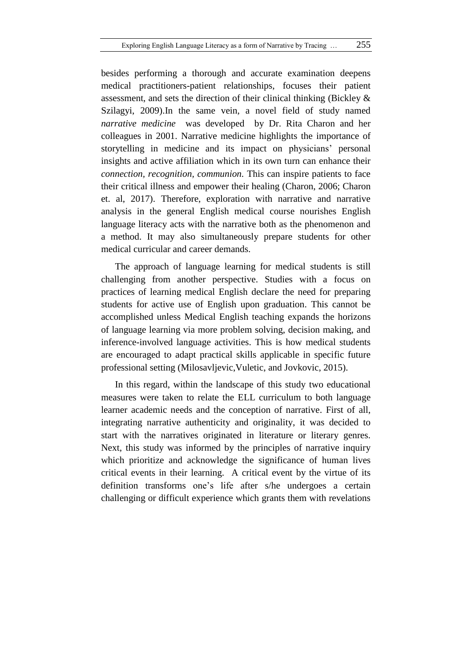besides performing a thorough and accurate examination deepens medical practitioners-patient relationships, focuses their patient assessment, and sets the direction of their clinical thinking (Bickley & Szilagyi, 2009).In the same vein, a novel field of study named *narrative medicine* was developed by Dr. Rita Charon and her colleagues in 2001. Narrative medicine highlights the importance of storytelling in medicine and its impact on physicians' personal insights and active affiliation which in its own turn can enhance their *connection, recognition, communion.* This can inspire patients to face their critical illness and empower their healing (Charon, 2006; Charon et. al, 2017). Therefore, exploration with narrative and narrative analysis in the general English medical course nourishes English language literacy acts with the narrative both as the phenomenon and a method. It may also simultaneously prepare students for other medical curricular and career demands.

The approach of language learning for medical students is still challenging from another perspective. Studies with a focus on practices of learning medical English declare the need for preparing students for active use of English upon graduation. This cannot be accomplished unless Medical English teaching expands the horizons of language learning via more problem solving, decision making, and inference-involved language activities. This is how medical students are encouraged to adapt practical skills applicable in specific future professional setting (Milosavljevic,Vuletic, and Jovkovic, 2015).

In this regard, within the landscape of this study two educational measures were taken to relate the ELL curriculum to both language learner academic needs and the conception of narrative. First of all, integrating narrative authenticity and originality, it was decided to start with the narratives originated in literature or literary genres. Next, this study was informed by the principles of narrative inquiry which prioritize and acknowledge the significance of human lives critical events in their learning. A critical event by the virtue of its definition transforms one"s life after s/he undergoes a certain challenging or difficult experience which grants them with revelations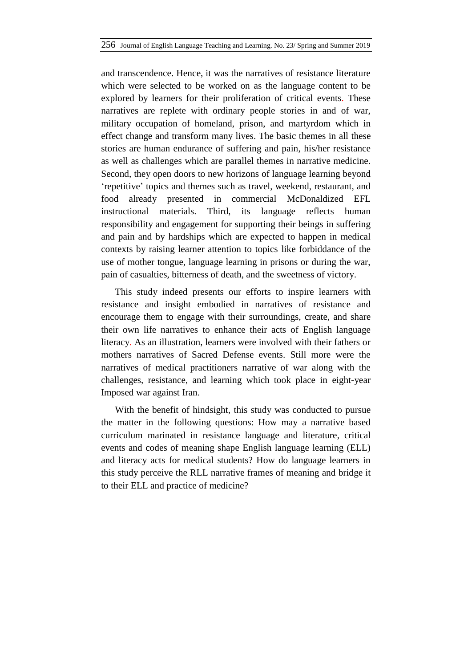and transcendence. Hence, it was the narratives of resistance literature which were selected to be worked on as the language content to be explored by learners for their proliferation of critical events. These narratives are replete with ordinary people stories in and of war, military occupation of homeland, prison, and martyrdom which in effect change and transform many lives. The basic themes in all these stories are human endurance of suffering and pain, his/her resistance as well as challenges which are parallel themes in narrative medicine. Second, they open doors to new horizons of language learning beyond "repetitive" topics and themes such as travel, weekend, restaurant, and food already presented in commercial McDonaldized EFL instructional materials. Third, its language reflects human responsibility and engagement for supporting their beings in suffering and pain and by hardships which are expected to happen in medical contexts by raising learner attention to topics like forbiddance of the use of mother tongue, language learning in prisons or during the war, pain of casualties, bitterness of death, and the sweetness of victory.

This study indeed presents our efforts to inspire learners with resistance and insight embodied in narratives of resistance and encourage them to engage with their surroundings, create, and share their own life narratives to enhance their acts of English language literacy. As an illustration, learners were involved with their fathers or mothers narratives of Sacred Defense events. Still more were the narratives of medical practitioners narrative of war along with the challenges, resistance, and learning which took place in eight-year Imposed war against Iran.

With the benefit of hindsight, this study was conducted to pursue the matter in the following questions: How may a narrative based curriculum marinated in resistance language and literature, critical events and codes of meaning shape English language learning (ELL) and literacy acts for medical students? How do language learners in this study perceive the RLL narrative frames of meaning and bridge it to their ELL and practice of medicine?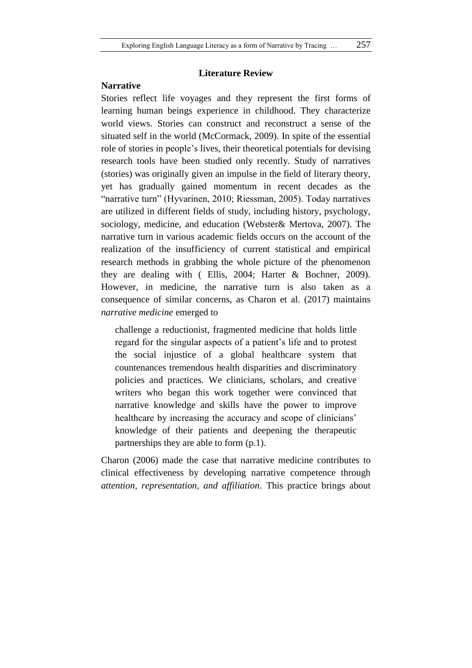## **Narrative**

# **Literature Review**

Stories reflect life voyages and they represent the first forms of learning human beings experience in childhood. They characterize world views. Stories can construct and reconstruct a sense of the situated self in the world (McCormack, 2009). In spite of the essential role of stories in people"s lives, their theoretical potentials for devising research tools have been studied only recently. Study of narratives (stories) was originally given an impulse in the field of literary theory, yet has gradually gained momentum in recent decades as the "narrative turn" (Hyvarinen, 2010; Riessman, 2005). Today narratives are utilized in different fields of study, including history, psychology, sociology, medicine, and education (Webster& Mertova, 2007). The narrative turn in various academic fields occurs on the account of the realization of the insufficiency of current statistical and empirical research methods in grabbing the whole picture of the phenomenon they are dealing with ( Ellis, 2004; Harter & Bochner, 2009). However, in medicine, the narrative turn is also taken as a consequence of similar concerns, as Charon et al. (2017) maintains *narrative medicine* emerged to

challenge a reductionist, fragmented medicine that holds little regard for the singular aspects of a patient"s life and to protest the social injustice of a global healthcare system that countenances tremendous health disparities and discriminatory policies and practices. We clinicians, scholars, and creative writers who began this work together were convinced that narrative knowledge and skills have the power to improve healthcare by increasing the accuracy and scope of clinicians' knowledge of their patients and deepening the therapeutic partnerships they are able to form (p.1).

Charon (2006) made the case that narrative medicine contributes to clinical effectiveness by developing narrative competence through *attention, representation, and affiliation*. This practice brings about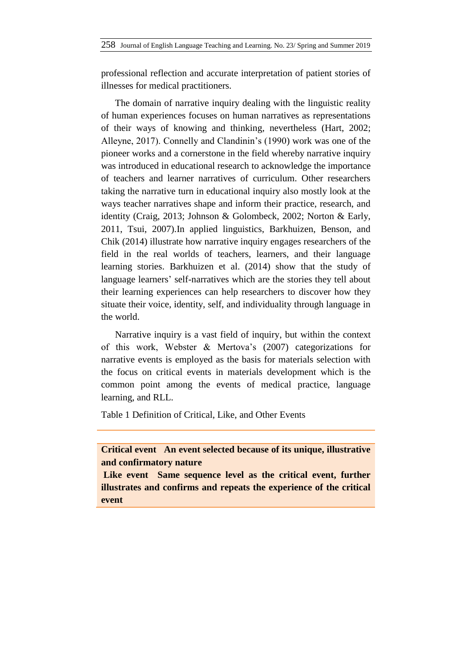professional reflection and accurate interpretation of patient stories of illnesses for medical practitioners.

The domain of narrative inquiry dealing with the linguistic reality of human experiences focuses on human narratives as representations of their ways of knowing and thinking, nevertheless (Hart, 2002; Alleyne, 2017). Connelly and Clandinin"s (1990) work was one of the pioneer works and a cornerstone in the field whereby narrative inquiry was introduced in educational research to acknowledge the importance of teachers and learner narratives of curriculum. Other researchers taking the narrative turn in educational inquiry also mostly look at the ways teacher narratives shape and inform their practice, research, and identity (Craig, 2013; Johnson & Golombeck, 2002; Norton & Early, 2011, Tsui, 2007).In applied linguistics, Barkhuizen, Benson, and Chik (2014) illustrate how narrative inquiry engages researchers of the field in the real worlds of teachers, learners, and their language learning stories. Barkhuizen et al. (2014) show that the study of language learners' self-narratives which are the stories they tell about their learning experiences can help researchers to discover how they situate their voice, identity, self, and individuality through language in the world.

Narrative inquiry is a vast field of inquiry, but within the context of this work, Webster & Mertova"s (2007) categorizations for narrative events is employed as the basis for materials selection with the focus on critical events in materials development which is the common point among the events of medical practice, language learning, and RLL.

Table 1 Definition of Critical, Like, and Other Events

**Critical event An event selected because of its unique, illustrative and confirmatory nature**

Like event Same sequence level as the critical event, further **illustrates and confirms and repeats the experience of the critical event**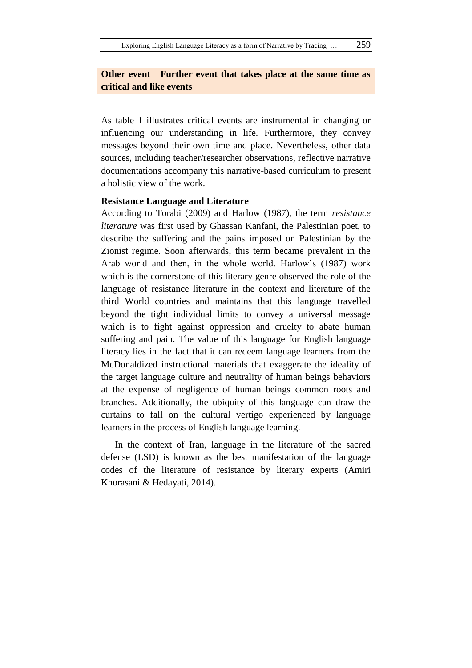# **Other event Further event that takes place at the same time as critical and like events**

As table 1 illustrates critical events are instrumental in changing or influencing our understanding in life. Furthermore, they convey messages beyond their own time and place. Nevertheless, other data sources, including teacher/researcher observations, reflective narrative documentations accompany this narrative-based curriculum to present a holistic view of the work.

# **Resistance Language and Literature**

According to Torabi (2009) and Harlow (1987), the term *resistance literature* was first used by Ghassan Kanfani, the Palestinian poet, to describe the suffering and the pains imposed on Palestinian by the Zionist regime. Soon afterwards, this term became prevalent in the Arab world and then, in the whole world. Harlow"s (1987) work which is the cornerstone of this literary genre observed the role of the language of resistance literature in the context and literature of the third World countries and maintains that this language travelled beyond the tight individual limits to convey a universal message which is to fight against oppression and cruelty to abate human suffering and pain. The value of this language for English language literacy lies in the fact that it can redeem language learners from the McDonaldized instructional materials that exaggerate the ideality of the target language culture and neutrality of human beings behaviors at the expense of negligence of human beings common roots and branches. Additionally, the ubiquity of this language can draw the curtains to fall on the cultural vertigo experienced by language learners in the process of English language learning.

In the context of Iran, language in the literature of the sacred defense (LSD) is known as the best manifestation of the language codes of the literature of resistance by literary experts (Amiri Khorasani & Hedayati, 2014).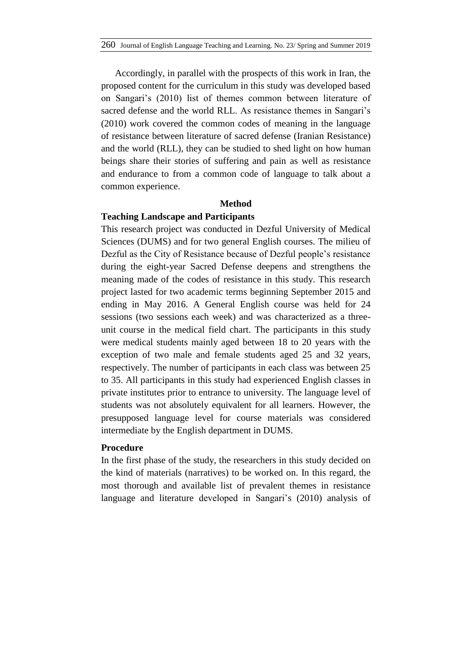Accordingly, in parallel with the prospects of this work in Iran, the proposed content for the curriculum in this study was developed based on Sangari"s (2010) list of themes common between literature of sacred defense and the world RLL. As resistance themes in Sangari's (2010) work covered the common codes of meaning in the language of resistance between literature of sacred defense (Iranian Resistance) and the world (RLL), they can be studied to shed light on how human beings share their stories of suffering and pain as well as resistance and endurance to from a common code of language to talk about a common experience.

# **Method**

### **Teaching Landscape and Participants**

This research project was conducted in Dezful University of Medical Sciences (DUMS) and for two general English courses. The milieu of Dezful as the City of Resistance because of Dezful people"s resistance during the eight-year Sacred Defense deepens and strengthens the meaning made of the codes of resistance in this study. This research project lasted for two academic terms beginning September 2015 and ending in May 2016. A General English course was held for 24 sessions (two sessions each week) and was characterized as a threeunit course in the medical field chart. The participants in this study were medical students mainly aged between 18 to 20 years with the exception of two male and female students aged 25 and 32 years, respectively. The number of participants in each class was between 25 to 35. All participants in this study had experienced English classes in private institutes prior to entrance to university. The language level of students was not absolutely equivalent for all learners. However, the presupposed language level for course materials was considered intermediate by the English department in DUMS.

### **Procedure**

In the first phase of the study, the researchers in this study decided on the kind of materials (narratives) to be worked on. In this regard, the most thorough and available list of prevalent themes in resistance language and literature developed in Sangari's (2010) analysis of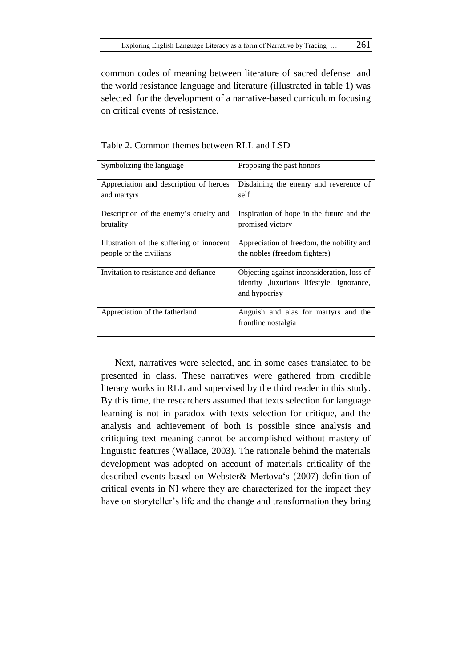common codes of meaning between literature of sacred defense and the world resistance language and literature (illustrated in table 1) was selected for the development of a narrative-based curriculum focusing on critical events of resistance.

| Symbolizing the language                  | Proposing the past honors                                                                                 |
|-------------------------------------------|-----------------------------------------------------------------------------------------------------------|
| Appreciation and description of heroes    | Disdaining the enemy and reverence of                                                                     |
| and martyrs                               | self                                                                                                      |
| Description of the enemy's cruelty and    | Inspiration of hope in the future and the                                                                 |
| brutality                                 | promised victory                                                                                          |
| Illustration of the suffering of innocent | Appreciation of freedom, the nobility and                                                                 |
| people or the civilians                   | the nobles (freedom fighters)                                                                             |
| Invitation to resistance and defiance     | Objecting against inconsideration, loss of<br>identity , luxurious lifestyle, ignorance,<br>and hypocrisy |
| Appreciation of the fatherland            | Anguish and alas for martyrs and the<br>frontline nostalgia                                               |

Table 2. Common themes between RLL and LSD

Next, narratives were selected, and in some cases translated to be presented in class. These narratives were gathered from credible literary works in RLL and supervised by the third reader in this study. By this time, the researchers assumed that texts selection for language learning is not in paradox with texts selection for critique, and the analysis and achievement of both is possible since analysis and critiquing text meaning cannot be accomplished without mastery of linguistic features (Wallace, 2003). The rationale behind the materials development was adopted on account of materials criticality of the described events based on Webster& Mertova"s (2007) definition of critical events in NI where they are characterized for the impact they have on storyteller"s life and the change and transformation they bring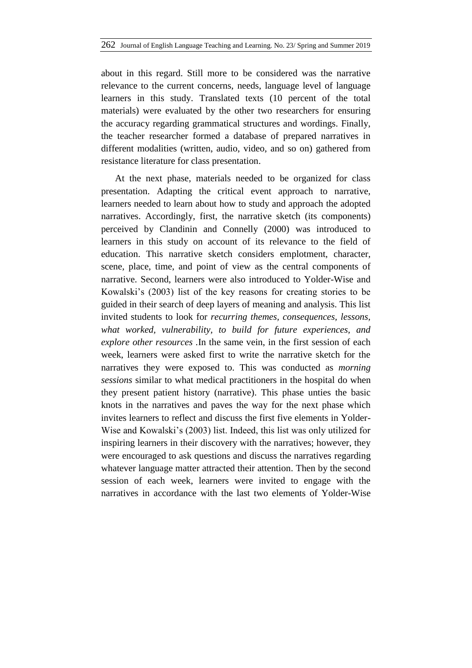about in this regard. Still more to be considered was the narrative relevance to the current concerns, needs, language level of language learners in this study. Translated texts (10 percent of the total materials) were evaluated by the other two researchers for ensuring the accuracy regarding grammatical structures and wordings. Finally, the teacher researcher formed a database of prepared narratives in different modalities (written, audio, video, and so on) gathered from resistance literature for class presentation.

At the next phase, materials needed to be organized for class presentation. Adapting the critical event approach to narrative, learners needed to learn about how to study and approach the adopted narratives. Accordingly, first, the narrative sketch (its components) perceived by Clandinin and Connelly (2000) was introduced to learners in this study on account of its relevance to the field of education. This narrative sketch considers emplotment, character, scene, place, time, and point of view as the central components of narrative. Second, learners were also introduced to Yolder-Wise and Kowalski"s (2003) list of the key reasons for creating stories to be guided in their search of deep layers of meaning and analysis. This list invited students to look for *recurring themes, consequences, lessons, what worked, vulnerability, to build for future experiences, and explore other resources .*In the same vein, in the first session of each week, learners were asked first to write the narrative sketch for the narratives they were exposed to. This was conducted as *morning sessions* similar to what medical practitioners in the hospital do when they present patient history (narrative). This phase unties the basic knots in the narratives and paves the way for the next phase which invites learners to reflect and discuss the first five elements in Yolder-Wise and Kowalski"s (2003) list. Indeed, this list was only utilized for inspiring learners in their discovery with the narratives; however, they were encouraged to ask questions and discuss the narratives regarding whatever language matter attracted their attention. Then by the second session of each week, learners were invited to engage with the narratives in accordance with the last two elements of Yolder-Wise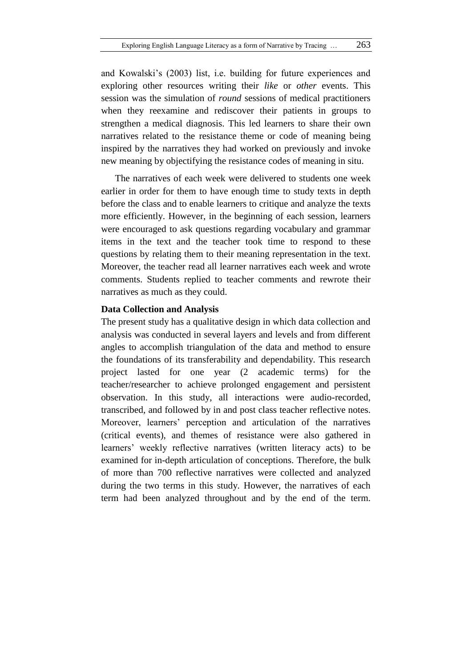and Kowalski's (2003) list, i.e. building for future experiences and exploring other resources writing their *like* or *other* events. This session was the simulation of *round* sessions of medical practitioners when they reexamine and rediscover their patients in groups to strengthen a medical diagnosis. This led learners to share their own narratives related to the resistance theme or code of meaning being inspired by the narratives they had worked on previously and invoke new meaning by objectifying the resistance codes of meaning in situ.

The narratives of each week were delivered to students one week earlier in order for them to have enough time to study texts in depth before the class and to enable learners to critique and analyze the texts more efficiently. However, in the beginning of each session, learners were encouraged to ask questions regarding vocabulary and grammar items in the text and the teacher took time to respond to these questions by relating them to their meaning representation in the text. Moreover, the teacher read all learner narratives each week and wrote comments. Students replied to teacher comments and rewrote their narratives as much as they could.

## **Data Collection and Analysis**

The present study has a qualitative design in which data collection and analysis was conducted in several layers and levels and from different angles to accomplish triangulation of the data and method to ensure the foundations of its transferability and dependability. This research project lasted for one year (2 academic terms) for the teacher/researcher to achieve prolonged engagement and persistent observation. In this study, all interactions were audio-recorded, transcribed, and followed by in and post class teacher reflective notes. Moreover, learners" perception and articulation of the narratives (critical events), and themes of resistance were also gathered in learners' weekly reflective narratives (written literacy acts) to be examined for in-depth articulation of conceptions. Therefore, the bulk of more than 700 reflective narratives were collected and analyzed during the two terms in this study. However, the narratives of each term had been analyzed throughout and by the end of the term.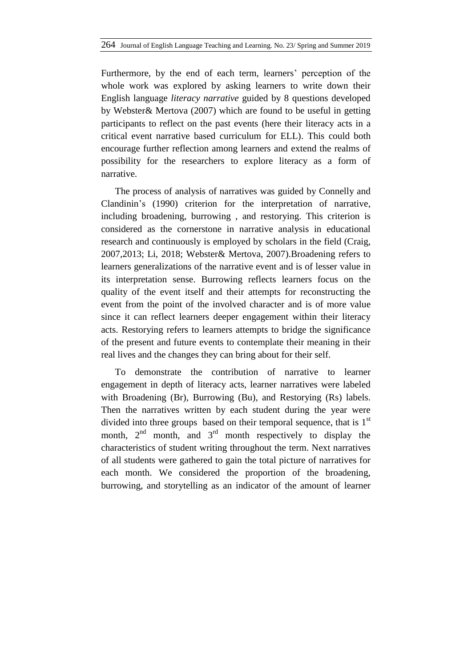Furthermore, by the end of each term, learners' perception of the whole work was explored by asking learners to write down their English language *literacy narrative* guided by 8 questions developed by Webster& Mertova (2007) which are found to be useful in getting participants to reflect on the past events (here their literacy acts in a critical event narrative based curriculum for ELL). This could both encourage further reflection among learners and extend the realms of possibility for the researchers to explore literacy as a form of narrative.

The process of analysis of narratives was guided by Connelly and Clandinin"s (1990) criterion for the interpretation of narrative, including broadening, burrowing , and restorying. This criterion is considered as the cornerstone in narrative analysis in educational research and continuously is employed by scholars in the field (Craig, 2007,2013; Li, 2018; Webster& Mertova, 2007).Broadening refers to learners generalizations of the narrative event and is of lesser value in its interpretation sense. Burrowing reflects learners focus on the quality of the event itself and their attempts for reconstructing the event from the point of the involved character and is of more value since it can reflect learners deeper engagement within their literacy acts. Restorying refers to learners attempts to bridge the significance of the present and future events to contemplate their meaning in their real lives and the changes they can bring about for their self.

To demonstrate the contribution of narrative to learner engagement in depth of literacy acts, learner narratives were labeled with Broadening (Br), Burrowing (Bu), and Restorying (Rs) labels. Then the narratives written by each student during the year were divided into three groups based on their temporal sequence, that is  $1<sup>st</sup>$ month,  $2<sup>nd</sup>$  month, and  $3<sup>rd</sup>$  month respectively to display the characteristics of student writing throughout the term. Next narratives of all students were gathered to gain the total picture of narratives for each month. We considered the proportion of the broadening, burrowing, and storytelling as an indicator of the amount of learner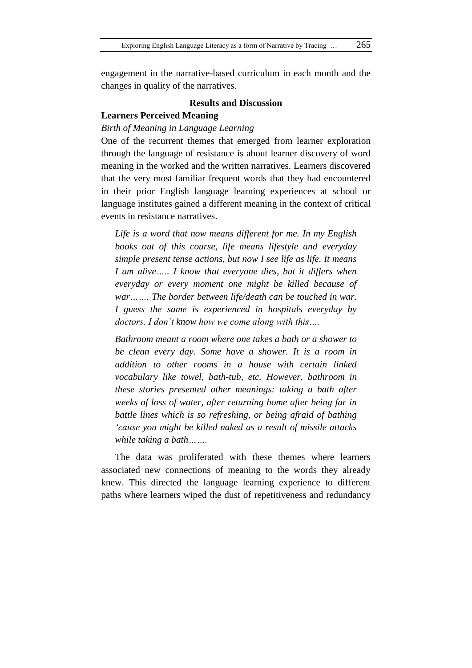engagement in the narrative-based curriculum in each month and the changes in quality of the narratives.

## **Results and Discussion**

# **Learners Perceived Meaning**

#### *Birth of Meaning in Language Learning*

One of the recurrent themes that emerged from learner exploration through the language of resistance is about learner discovery of word meaning in the worked and the written narratives. Learners discovered that the very most familiar frequent words that they had encountered in their prior English language learning experiences at school or language institutes gained a different meaning in the context of critical events in resistance narratives.

*Life is a word that now means different for me. In my English books out of this course, life means lifestyle and everyday simple present tense actions, but now I see life as life. It means I am alive….. I know that everyone dies, but it differs when everyday or every moment one might be killed because of war……. The border between life/death can be touched in war. I guess the same is experienced in hospitals everyday by doctors. I don't know how we come along with this….*

*Bathroom meant a room where one takes a bath or a shower to be clean every day. Some have a shower. It is a room in addition to other rooms in a house with certain linked vocabulary like towel, bath-tub, etc. However, bathroom in these stories presented other meanings: taking a bath after weeks of loss of water, after returning home after being far in battle lines which is so refreshing, or being afraid of bathing 'cause you might be killed naked as a result of missile attacks while taking a bath…….*

The data was proliferated with these themes where learners associated new connections of meaning to the words they already knew. This directed the language learning experience to different paths where learners wiped the dust of repetitiveness and redundancy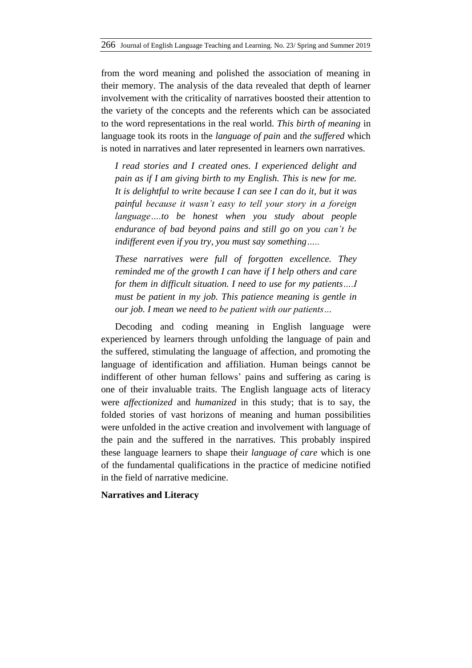from the word meaning and polished the association of meaning in their memory. The analysis of the data revealed that depth of learner involvement with the criticality of narratives boosted their attention to the variety of the concepts and the referents which can be associated to the word representations in the real world*. This birth of meaning* in language took its roots in the *language of pain* and *the suffered* which is noted in narratives and later represented in learners own narratives.

*I read stories and I created ones. I experienced delight and pain as if I am giving birth to my English. This is new for me. It is delightful to write because I can see I can do it, but it was painful because it wasn't easy to tell your story in a foreign language….to be honest when you study about people endurance of bad beyond pains and still go on you can't be indifferent even if you try, you must say something…..*

*These narratives were full of forgotten excellence. They reminded me of the growth I can have if I help others and care for them in difficult situation. I need to use for my patients….I must be patient in my job. This patience meaning is gentle in our job. I mean we need to be patient with our patients…*

Decoding and coding meaning in English language were experienced by learners through unfolding the language of pain and the suffered, stimulating the language of affection, and promoting the language of identification and affiliation. Human beings cannot be indifferent of other human fellows' pains and suffering as caring is one of their invaluable traits. The English language acts of literacy were *affectionized* and *humanized* in this study; that is to say, the folded stories of vast horizons of meaning and human possibilities were unfolded in the active creation and involvement with language of the pain and the suffered in the narratives. This probably inspired these language learners to shape their *language of care* which is one of the fundamental qualifications in the practice of medicine notified in the field of narrative medicine.

**Narratives and Literacy**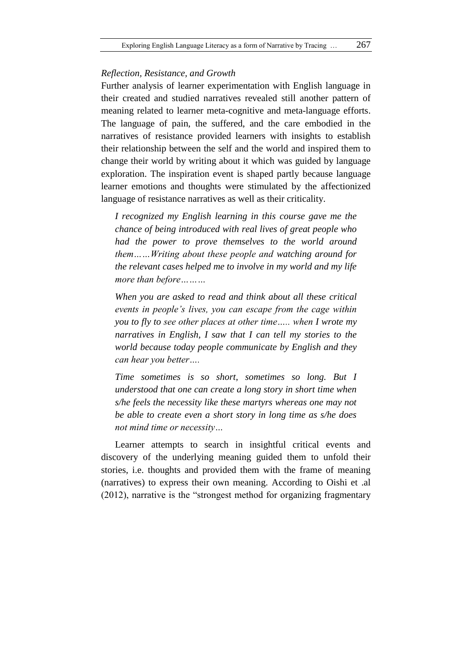#### *Reflection, Resistance, and Growth*

Further analysis of learner experimentation with English language in their created and studied narratives revealed still another pattern of meaning related to learner meta-cognitive and meta-language efforts. The language of pain, the suffered, and the care embodied in the narratives of resistance provided learners with insights to establish their relationship between the self and the world and inspired them to change their world by writing about it which was guided by language exploration. The inspiration event is shaped partly because language learner emotions and thoughts were stimulated by the affectionized language of resistance narratives as well as their criticality.

*I recognized my English learning in this course gave me the chance of being introduced with real lives of great people who had the power to prove themselves to the world around them……Writing about these people and watching around for the relevant cases helped me to involve in my world and my life more than before………*

*When you are asked to read and think about all these critical events in people's lives, you can escape from the cage within you to fly to see other places at other time….. when I wrote my narratives in English, I saw that I can tell my stories to the world because today people communicate by English and they can hear you better….*

*Time sometimes is so short, sometimes so long. But I understood that one can create a long story in short time when s/he feels the necessity like these martyrs whereas one may not be able to create even a short story in long time as s/he does not mind time or necessity…*

Learner attempts to search in insightful critical events and discovery of the underlying meaning guided them to unfold their stories, i.e. thoughts and provided them with the frame of meaning (narratives) to express their own meaning. According to Oishi et .al (2012), narrative is the "strongest method for organizing fragmentary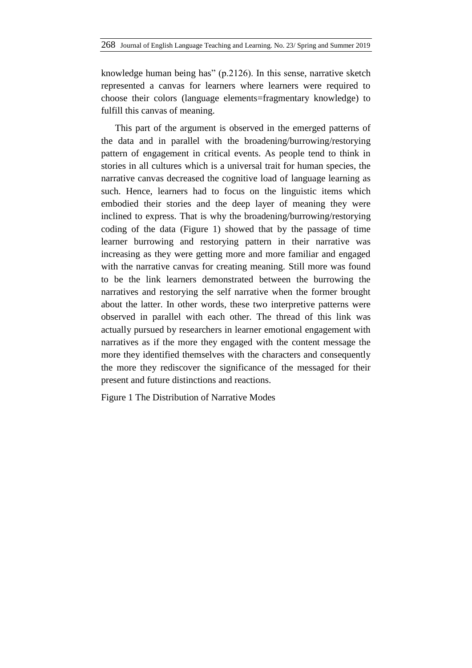knowledge human being has" (p.2126). In this sense, narrative sketch represented a canvas for learners where learners were required to choose their colors (language elements=fragmentary knowledge) to fulfill this canvas of meaning.

This part of the argument is observed in the emerged patterns of the data and in parallel with the broadening/burrowing/restorying pattern of engagement in critical events. As people tend to think in stories in all cultures which is a universal trait for human species, the narrative canvas decreased the cognitive load of language learning as such. Hence, learners had to focus on the linguistic items which embodied their stories and the deep layer of meaning they were inclined to express. That is why the broadening/burrowing/restorying coding of the data (Figure 1) showed that by the passage of time learner burrowing and restorying pattern in their narrative was increasing as they were getting more and more familiar and engaged with the narrative canvas for creating meaning. Still more was found to be the link learners demonstrated between the burrowing the narratives and restorying the self narrative when the former brought about the latter. In other words, these two interpretive patterns were observed in parallel with each other. The thread of this link was actually pursued by researchers in learner emotional engagement with narratives as if the more they engaged with the content message the more they identified themselves with the characters and consequently the more they rediscover the significance of the messaged for their present and future distinctions and reactions.

Figure 1 The Distribution of Narrative Modes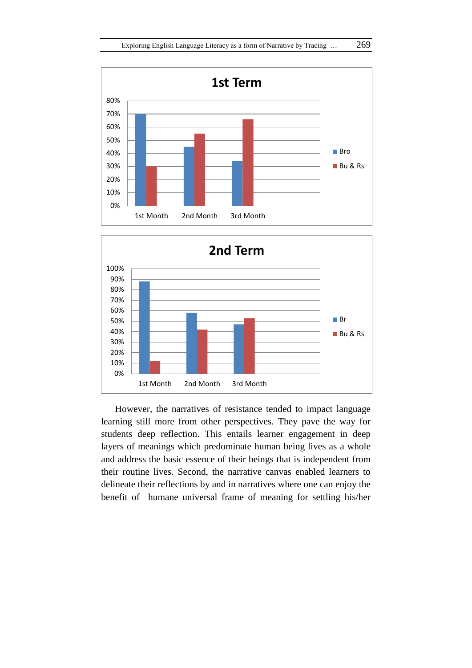



However, the narratives of resistance tended to impact language learning still more from other perspectives. They pave the way for students deep reflection. This entails learner engagement in deep layers of meanings which predominate human being lives as a whole and address the basic essence of their beings that is independent from their routine lives. Second, the narrative canvas enabled learners to delineate their reflections by and in narratives where one can enjoy the benefit of humane universal frame of meaning for settling his/her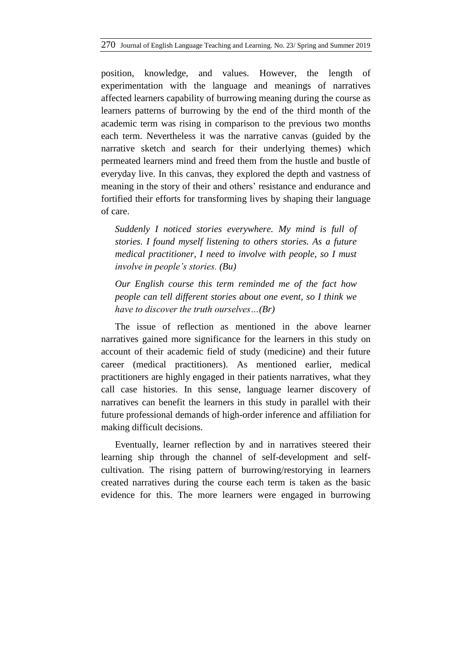position, knowledge, and values. However, the length of experimentation with the language and meanings of narratives affected learners capability of burrowing meaning during the course as learners patterns of burrowing by the end of the third month of the academic term was rising in comparison to the previous two months each term. Nevertheless it was the narrative canvas (guided by the narrative sketch and search for their underlying themes) which permeated learners mind and freed them from the hustle and bustle of everyday live. In this canvas, they explored the depth and vastness of meaning in the story of their and others' resistance and endurance and fortified their efforts for transforming lives by shaping their language of care.

*Suddenly I noticed stories everywhere. My mind is full of stories. I found myself listening to others stories. As a future medical practitioner, I need to involve with people, so I must involve in people's stories. (Bu)*

*Our English course this term reminded me of the fact how people can tell different stories about one event, so I think we have to discover the truth ourselves…(Br)*

The issue of reflection as mentioned in the above learner narratives gained more significance for the learners in this study on account of their academic field of study (medicine) and their future career (medical practitioners). As mentioned earlier, medical practitioners are highly engaged in their patients narratives, what they call case histories. In this sense, language learner discovery of narratives can benefit the learners in this study in parallel with their future professional demands of high-order inference and affiliation for making difficult decisions.

Eventually, learner reflection by and in narratives steered their learning ship through the channel of self-development and selfcultivation. The rising pattern of burrowing/restorying in learners created narratives during the course each term is taken as the basic evidence for this. The more learners were engaged in burrowing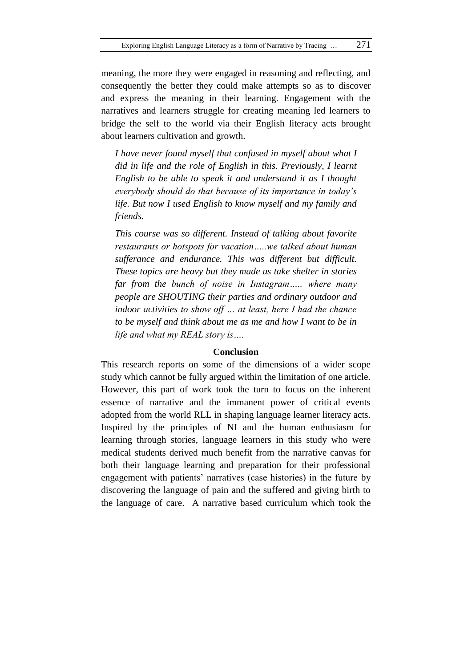meaning, the more they were engaged in reasoning and reflecting, and consequently the better they could make attempts so as to discover and express the meaning in their learning. Engagement with the narratives and learners struggle for creating meaning led learners to bridge the self to the world via their English literacy acts brought about learners cultivation and growth.

*I have never found myself that confused in myself about what I did in life and the role of English in this. Previously, I learnt English to be able to speak it and understand it as I thought everybody should do that because of its importance in today's life. But now I used English to know myself and my family and friends.*

*This course was so different. Instead of talking about favorite restaurants or hotspots for vacation…..we talked about human sufferance and endurance. This was different but difficult. These topics are heavy but they made us take shelter in stories far from the bunch of noise in Instagram….. where many people are SHOUTING their parties and ordinary outdoor and indoor activities to show off … at least, here I had the chance to be myself and think about me as me and how I want to be in life and what my REAL story is….*

#### **Conclusion**

This research reports on some of the dimensions of a wider scope study which cannot be fully argued within the limitation of one article. However, this part of work took the turn to focus on the inherent essence of narrative and the immanent power of critical events adopted from the world RLL in shaping language learner literacy acts. Inspired by the principles of NI and the human enthusiasm for learning through stories, language learners in this study who were medical students derived much benefit from the narrative canvas for both their language learning and preparation for their professional engagement with patients" narratives (case histories) in the future by discovering the language of pain and the suffered and giving birth to the language of care. A narrative based curriculum which took the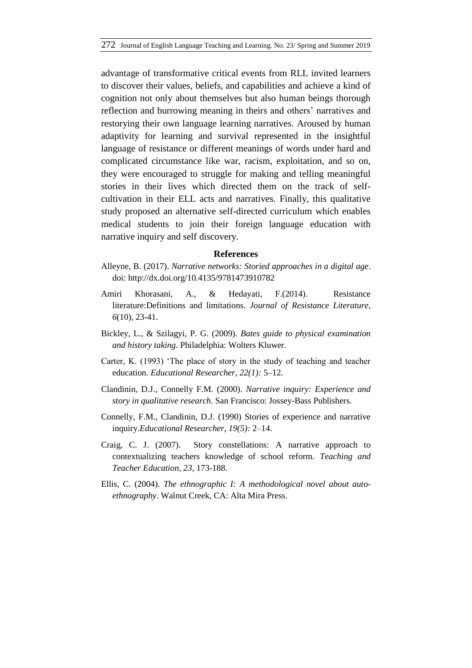advantage of transformative critical events from RLL invited learners to discover their values, beliefs, and capabilities and achieve a kind of cognition not only about themselves but also human beings thorough reflection and burrowing meaning in theirs and others' narratives and restorying their own language learning narratives. Aroused by human adaptivity for learning and survival represented in the insightful language of resistance or different meanings of words under hard and complicated circumstance like war, racism, exploitation, and so on, they were encouraged to struggle for making and telling meaningful stories in their lives which directed them on the track of selfcultivation in their ELL acts and narratives. Finally, this qualitative study proposed an alternative self-directed curriculum which enables medical students to join their foreign language education with narrative inquiry and self discovery.

#### **References**

- Alleyne, B. (2017). *Narrative networks: Storied approaches in a digital age*. doi: http://dx.doi.org/10.4135/9781473910782
- Amiri Khorasani, A., & Hedayati, F.(2014). Resistance literature:Definitions and limitations*. Journal of Resistance Literature*, *6*(10), 23-41.
- Bickley, L., & Szilagyi, P. G. (2009). *Bates guide to physical examination and history taking*. Philadelphia: Wolters Kluwer.
- Carter, K. (1993) "The place of story in the study of teaching and teacher education. *Educational Researcher, 22(1):* 5–12.
- Clandinin, D.J., Connelly F.M. (2000). *Narrative inquiry: Experience and story in qualitative research*. San Francisco: Jossey-Bass Publishers.
- Connelly, F.M., Clandinin, D.J. (1990) Stories of experience and narrative inquiry.*Educational Researcher, 19(5):* 2–14.
- Craig, C. J. (2007). Story constellations: A narrative approach to contextualizing teachers knowledge of school reform. *Teaching and Teacher Education, 23*, 173-188.
- Ellis, C. (2004). *The ethnographic I: A methodological novel about autoethnography*. Walnut Creek, CA: Alta Mira Press.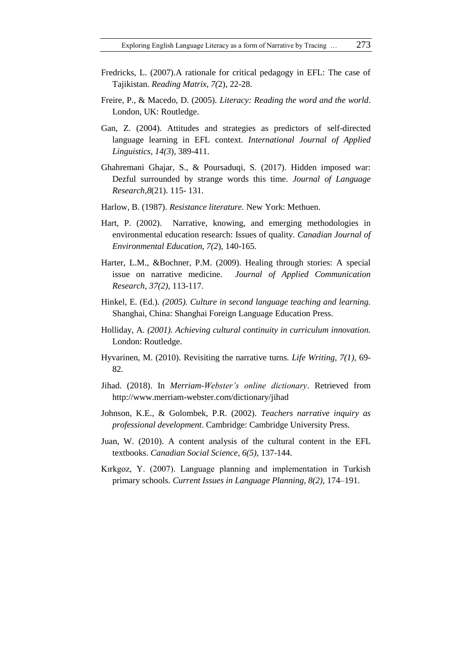- Fredricks, L. (2007).A rationale for critical pedagogy in EFL: The case of Tajikistan. *Reading Matrix, 7(*2), 22-28.
- Freire, P., & Macedo, D. (2005). *Literacy: Reading the word and the world*. London, UK: Routledge.
- Gan, Z. (2004). Attitudes and strategies as predictors of self-directed language learning in EFL context. *International Journal of Applied Linguistics, 14(3*), 389-411.
- Ghahremani Ghajar, S., & Poursaduqi, S. (2017). Hidden imposed war: Dezful surrounded by strange words this time. *Journal of Language Research*,*8*(21). 115- 131.
- Harlow, B. (1987). *Resistance literature.* New York: Methuen.
- Hart, P. (2002). Narrative, knowing, and emerging methodologies in environmental education research: Issues of quality. *Canadian Journal of Environmental Education, 7(2*), 140-165.
- Harter, L.M., &Bochner, P.M. (2009). Healing through stories: A special issue on narrative medicine. *Journal of Applied Communication Research, 37(2),* 113-117.
- Hinkel, E. (Ed.). *(2005). Culture in second language teaching and learning.*  Shanghai, China: Shanghai Foreign Language Education Press.
- Holliday, A. *(2001). Achieving cultural continuity in curriculum innovation.*  London: Routledge.
- Hyvarinen, M. (2010). Revisiting the narrative turns. *Life Writing, 7(1),* 69- 82.
- Jihad. (2018). In *Merriam-Webster's online dictionary*. Retrieved from http://www.merriam-webster.com/dictionary/jihad
- Johnson, K.E., & Golombek, P.R. (2002). *Teachers narrative inquiry as professional development*. Cambridge: Cambridge University Press.
- Juan, W. (2010). A content analysis of the cultural content in the EFL textbooks. *Canadian Social Science, 6(5),* 137-144.
- Kırkgoz, Y. (2007). Language planning and implementation in Turkish primary schools*. Current Issues in Language Planning, 8(2),* 174–191.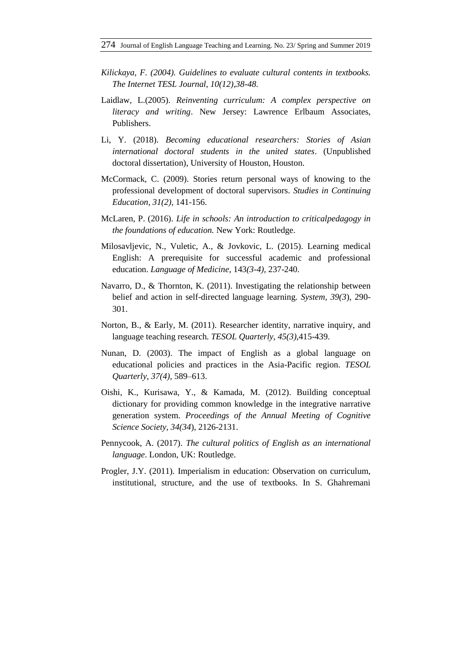- *Kilickaya, F. (2004). Guidelines to evaluate cultural contents in textbooks. The Internet TESL Journal, 10(12),38-48.*
- Laidlaw, L.(2005). *Reinventing curriculum: A complex perspective on literacy and writing*. New Jersey: Lawrence Erlbaum Associates, Publishers.
- Li, Y. (2018). *Becoming educational researchers: Stories of Asian international doctoral students in the united states*. (Unpublished doctoral dissertation), University of Houston, Houston.
- McCormack, C. (2009). Stories return personal ways of knowing to the professional development of doctoral supervisors. *Studies in Continuing Education, 31(2),* 141-156.
- McLaren, P. (2016). *Life in schools: An introduction to criticalpedagogy in the foundations of education.* New York: Routledge.
- Milosavljevic, N., Vuletic, A., & Jovkovic, L. (2015). Learning medical English: A prerequisite for successful academic and professional education. *Language of Medicine,* 143*(3-4),* 237-240.
- Navarro, D., & Thornton, K. (2011). Investigating the relationship between belief and action in self-directed language learning. *System, 39(3*), 290- 301.
- Norton, B., & Early, M. (2011). Researcher identity, narrative inquiry, and language teaching research. *TESOL Quarterly, 45(3),*415-439.
- Nunan, D. (2003). The impact of English as a global language on educational policies and practices in the Asia-Pacific region. *TESOL Quarterly, 37(4),* 589–613.
- Oishi, K., Kurisawa, Y., & Kamada, M. (2012). Building conceptual dictionary for providing common knowledge in the integrative narrative generation system. *Proceedings of the Annual Meeting of Cognitive Science Society, 34(34*), 2126-2131.
- Pennycook, A. (2017). *The cultural politics of English as an international language*. London, UK: Routledge.
- Progler, J.Y. (2011). Imperialism in education: Observation on curriculum, institutional, structure, and the use of textbooks. In S. Ghahremani